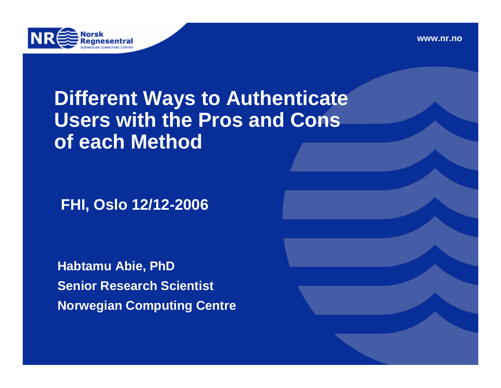



### **Different Ways to Authenticate Users with the Pros and Cons of each Method**

**FHI, Oslo 12/12-2006**

**Habtamu Abie, PhD Senior Research Scientist Norwegian Computing Centre**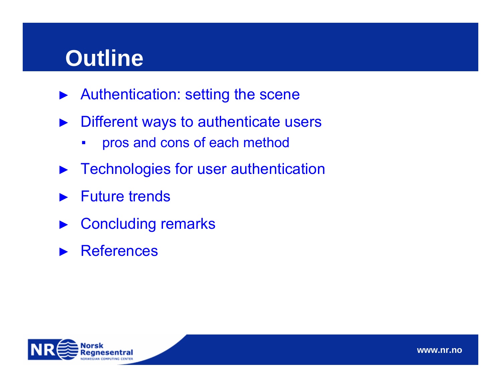# **Outline**

- ►Authentication: setting the scene
- ► Different ways to authenticate users
	- ▪pros and cons of each method
- ►Technologies for user authentication
- ►Future trends
- ►Concluding remarks
- ►**References**

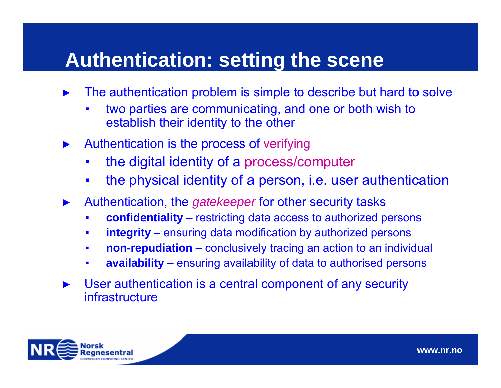### **Authentication: setting the scene**

- ► The authentication problem is simple to describe but hard to solve
	- ▪ two parties are communicating, and one or both wish to establish their identity to the other
- ► Authentication is the process of verifying
	- ▪the digital identity of a process/computer
	- ▪the physical identity of a person, i.e. user authentication
- ► Authentication, the *gatekeeper* for other security tasks
	- ▪**confidentiality** – restricting data access to authorized persons
	- ▪**integrity** – ensuring data modification by authorized persons
	- ▪**non-repudiation** – conclusively tracing an action to an individual
	- ▪**availability** – ensuring availability of data to authorised persons
- ► User authentication is a central component of any security infrastructure

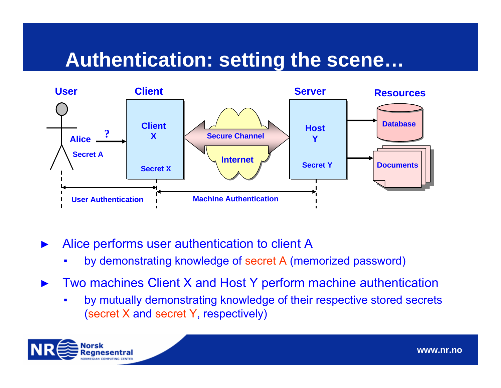### **Authentication: setting the scene…**



- ► Alice performs user authentication to client A
	- ▪by demonstrating knowledge of secret A (memorized password)
- ► Two machines Client X and Host Y perform machine authentication
	- ▪ by mutually demonstrating knowledge of their respective stored secrets (secret X and secret Y, respectively)

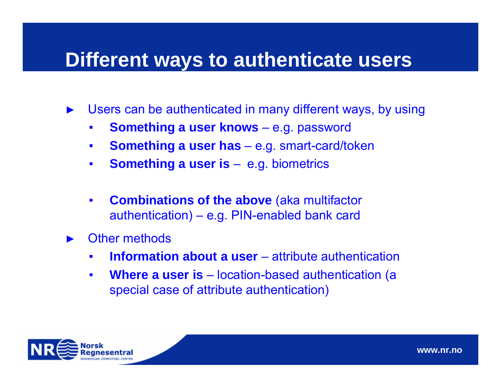### **Different ways to authenticate users**

- ► Users can be authenticated in many different ways, by using
	- ▪**Something a user knows** – e.g. password
	- ▪**Something a user has** – e.g. smart-card/token
	- ▪**Something a user is** – e.g. biometrics
	- ▪ **Combinations of the above** (aka multifactor authentication) – e.g. PIN-enabled bank card
- ► Other methods
	- **₽ Information about a user** – attribute authentication
	- **₽ Where a user is** – location-based authentication (a special case of attribute authentication)

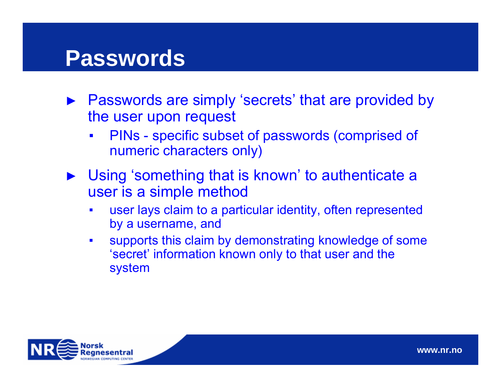## **Passwords**

- ► Passwords are simply 'secrets' that are provided by the user upon request
	- ▪ PINs - specific subset of passwords (comprised of numeric characters only)
- ► Using 'something that is known' to authenticate a user is a simple method
	- **₽**  user lays claim to a particular identity, often represented by a username, and
	- **₽**  supports this claim by demonstrating knowledge of some 'secret' information known only to that user and the system

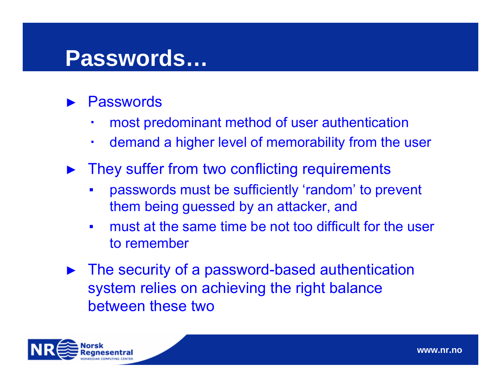# **Passwords…**

- ►**Passwords** 
	- **₽** most predominant method of user authentication
	- ▪demand a higher level of memorability from the user
- ► They suffer from two conflicting requirements
	- ▪ passwords must be sufficiently 'random' to prevent them being guessed by an attacker, and
	- ▪ must at the same time be not too difficult for the user to remember
- ► The security of a password-based authentication system relies on achieving the right balance between these two

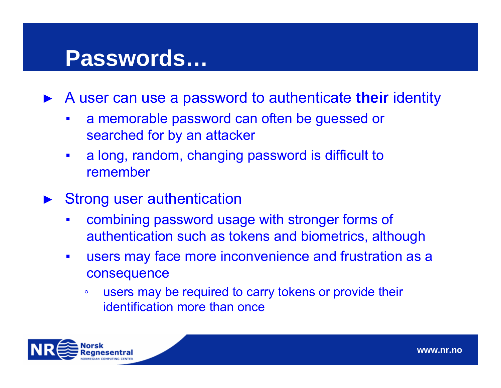# **Passwords…**

►A user can use a password to authenticate **their** identity

- **₽₽₽₽**  a memorable password can often be guessed or searched for by an attacker
- ▪ a long, random, changing password is difficult to remember
- ► Strong user authentication
	- ▪ combining password usage with stronger forms of authentication such as tokens and biometrics, although
	- ▪ users may face more inconvenience and frustration as a consequence
		- $\bullet$  users may be required to carry tokens or provide their identification more than once

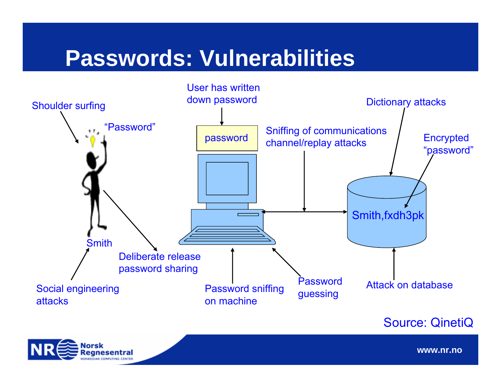# **Passwords: Vulnerabilities**



Source: QinetiQ



**www.nr.no**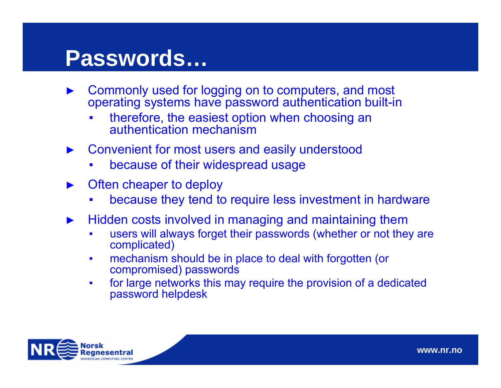# **Passwords…**

- ►▶ Commonly used for logging on to computers, and most operating systems have password authentication built-in
	- **₽**  therefore, the easiest option when choosing an authentication mechanism
- ► Convenient for most users and easily understood
	- ▪because of their widespread usage
- ► Often cheaper to deploy
	- **₽** because they tend to require less investment in hardware
- ► Hidden costs involved in managing and maintaining them
	- ▪ users will always forget their passwords (whether or not they are complicated)
	- ▪ mechanism should be in place to deal with forgotten (or compromised) passwords
	- ▪ for large networks this may require the provision of a dedicated password helpdesk

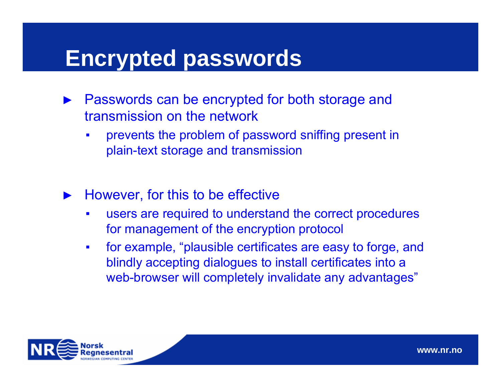## **Encrypted passwords**

- ► Passwords can be encrypted for both storage and transmission on the network
	- ▪ prevents the problem of password sniffing present in plain-text storage and transmission
- ► However, for this to be effective
	- ▪ users are required to understand the correct procedures for management of the encryption protocol
	- ▪ for example, "plausible certificates are easy to forge, and blindly accepting dialogues to install certificates into a web-browser will completely invalidate any advantages"

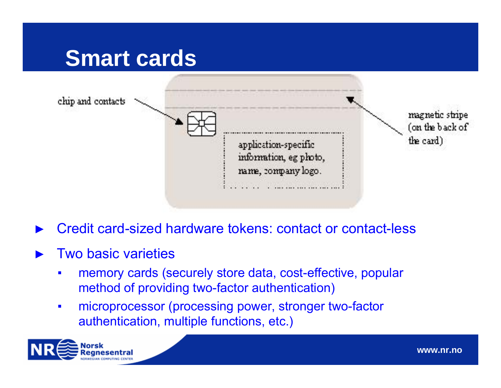## **Smart cards**



- ►Credit card-sized hardware tokens: contact or contact-less
- ► Two basic varieties
	- ▪ memory cards (securely store data, cost-effective, popular method of providing two-factor authentication)
	- ▪ microprocessor (processing power, stronger two-factor authentication, multiple functions, etc.)

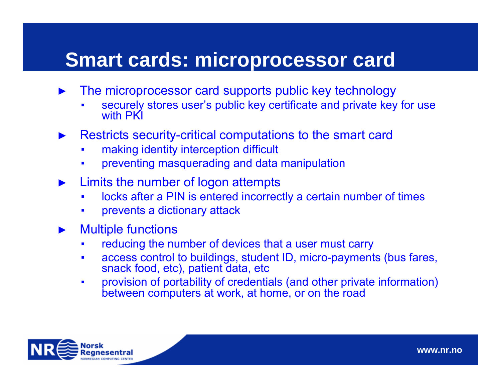### **Smart cards: microprocessor card**

- ► The microprocessor card supports public key technology
	- ▪ securely stores user's public key certificate and private key for use with PKI
- ► Restricts security-critical computations to the smart card
	- ▪making identity interception difficult
	- ▪preventing masquerading and data manipulation
- ► Limits the number of logon attempts
	- ▪locks after a PIN is entered incorrectly a certain number of times
	- ▪prevents a dictionary attack
- ► Multiple functions
	- ▪reducing the number of devices that a user must carry
	- ▪ access control to buildings, student ID, micro-payments (bus fares, snack food, etc), patient data, etc
	- ▪ provision of portability of credentials (and other private information) between computers at work, at home, or on the road

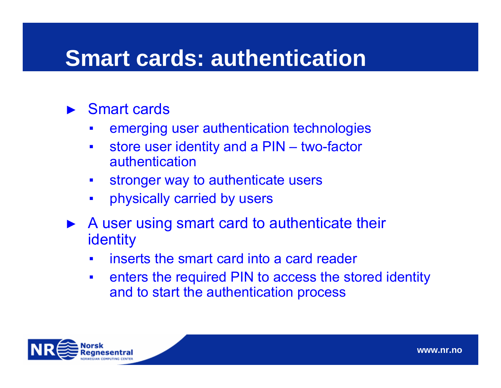# **Smart cards: authentication**

### ► Smart cards

- **₽** emerging user authentication technologies
- **₽**  store user identity and a PIN – two-factor authentication
- ▪stronger way to authenticate users
- **₽₽₽₽** physically carried by users
- ► A user using smart card to authenticate their identity
	- **₽** inserts the smart card into a card reader
	- ▪ enters the required PIN to access the stored identity and to start the authentication process

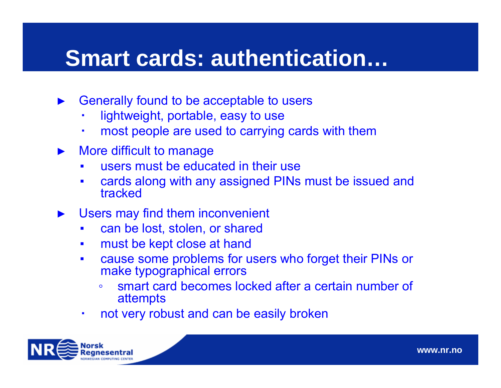# **Smart cards: authentication…**

- ► Generally found to be acceptable to users
	- **₽** lightweight, portable, easy to use
	- **₽** most people are used to carrying cards with them
- ► More difficult to manage
	- **₽** users must be educated in their use
	- ▪ cards along with any assigned PINs must be issued and tracked
- ► Users may find them inconvenient
	- ▪can be lost, stolen, or shared
	- ▪must be kept close at hand
	- ▪ cause some problems for users who forget their PINs or make typographical errors
		- ◦ smart card becomes locked after a certain number of attempts
	- ▪not very robust and can be easily broken

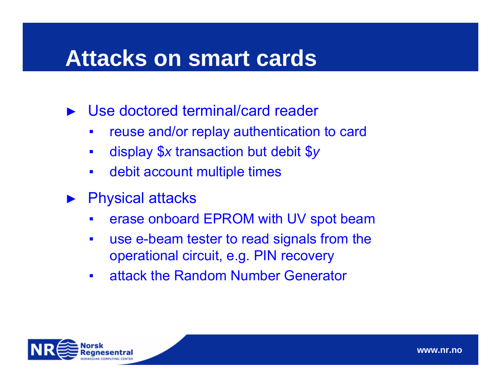# **Attacks on smart cards**

►Use doctored terminal/card reader

- **₽₽₽₽** reuse and/or replay authentication to card
- ▪display \$*x* transaction but debit \$ *y*
- ▪debit account multiple times
- ► Physical attacks
	- ▪erase onboard EPROM with UV spot beam
	- ▪ use e-beam tester to read signals from the operational circuit, e.g. PIN recovery
	- ▪attack the Random Number Generator

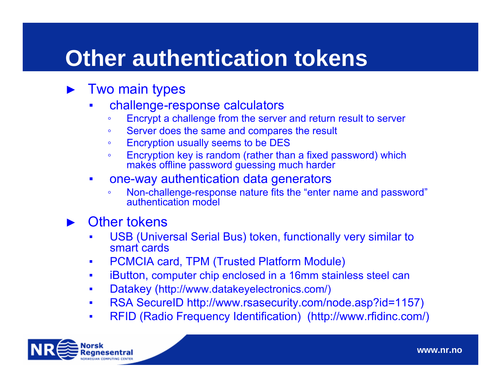# **Other authentication tokens**

#### ►Two main types

- ▪ challenge-response calculators
	- ◦Encrypt a challenge from the server and return result to server
	- ◦Server does the same and compares the result
	- ◦Encryption usually seems to be DES
	- ◦ Encryption key is random (rather than a fixed password) which makes offline password guessing much harder
- **₽**  one-way authentication data generators
	- ◦ Non-challenge-response nature fits the "enter name and password" authentication model

#### ►Other tokens

- ▪ USB (Universal Serial Bus) token, functionally very similar to smart cards
- ▪PCMCIA card, TPM (Trusted Platform Module)
- ▪iButton, computer chip enclosed in a 16mm stainless steel can
- ▪Datakey (http://www.datakeyelectronics.com/)
- ▪RSA SecureID http://www.rsasecurity.com/node.asp?id=1157)
- ▪RFID (Radio Frequency Identification) (http://www.rfidinc.com/)

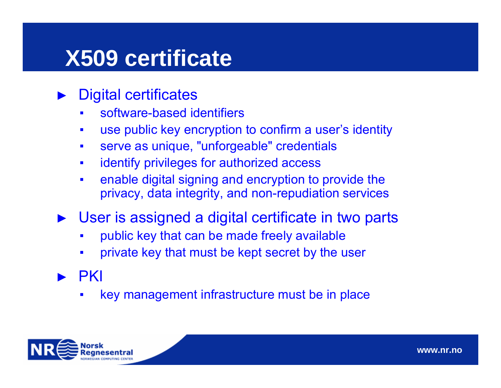# **X509 certificate**

- ► Digital certificates
	- ▪software-based identifiers
	- ▪use public key encryption to confirm a user's identity
	- ▪serve as unique, "unforgeable" credentials
	- ▪identify privileges for authorized access
	- ▪ enable digital signing and encryption to provide the privacy, data integrity, and non-repudiation services
- ► User is assigned a digital certificate in two parts
	- ▪public key that can be made freely available
	- ▪private key that must be kept secret by the user
- ► PKI
	- ▪key management infrastructure must be in place

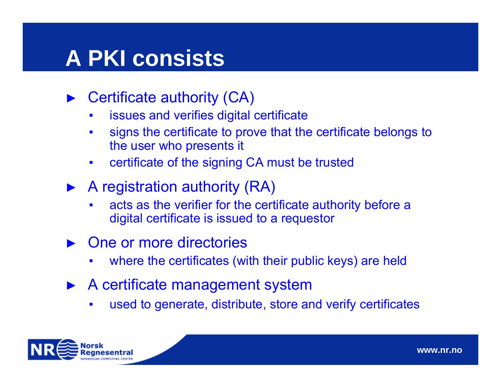# **A PKI consists**

- ► Certificate authority (CA)
	- **₽** issues and verifies digital certificate
	- ▪ signs the certificate to prove that the certificate belongs to the user who presents it
	- ▪certificate of the signing CA must be trusted
- ► A registration authority (RA)
	- **₽**  acts as the verifier for the certificate authority before a digital certificate is issued to a requestor
- ► One or more directories
	- **₽** where the certificates (with their public keys) are held
- ► A certificate management system
	- ▪used to generate, distribute, store and verify certificates

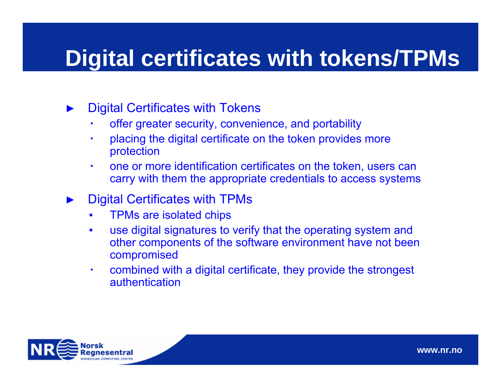# **Digital certificates with tokens/TPMs**

- ► Digital Certificates with Tokens
	- ▪offer greater security, convenience, and portability
	- placing the digital certificate on the token provides more protection
	- ▪ one or more identification certificates on the token, users can carry with them the appropriate credentials to access systems
- ► Digital Certificates with TPMs
	- ▪TPMs are isolated chips
	- ▪ use digital signatures to verify that the operating system and other components of the software environment have not been compromised
	- ▪ combined with a digital certificate, they provide the strongest authentication

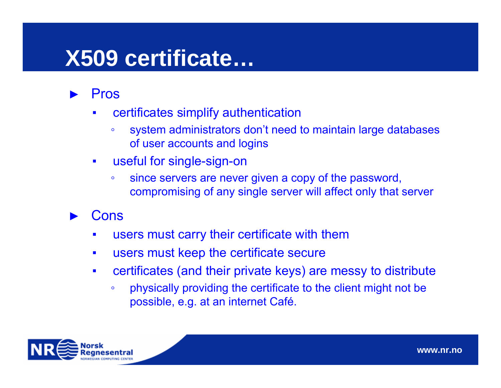# **X509 certificate…**

- ► Pros
	- ▪ certificates simplify authentication
		- ◦ system administrators don't need to maintain large databases of user accounts and logins
	- ▪ useful for single-sign-on
		- ◦ since servers are never given a copy of the password, compromising of any single server will affect only that server
- ►**Cons** 
	- ▪users must carry their certificate with them
	- ▪users must keep the certificate secure
	- ▪ certificates (and their private keys) are messy to distribute
		- ◦ physically providing the certificate to the client might not be possible, e.g. at an internet Café.

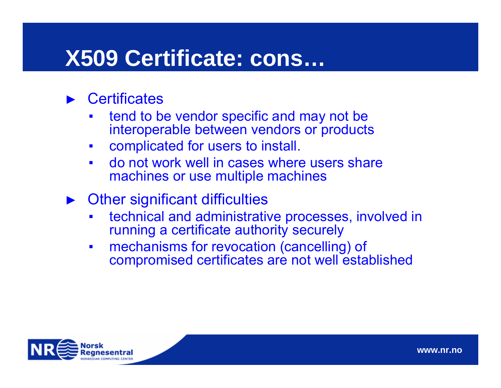# **X509 Certificate: cons…**

#### ►**Certificates**

- ▪ tend to be vendor specific and may not be interoperable between vendors or products
- ▪complicated for users to install.
- ▪ do not work well in cases where users share machines or use multiple machines
- ► Other significant difficulties
	- ▪ technical and administrative processes, involved in running a certificate authority securely
	- ▪ mechanisms for revocation (cancelling) of compromised certificates are not well established

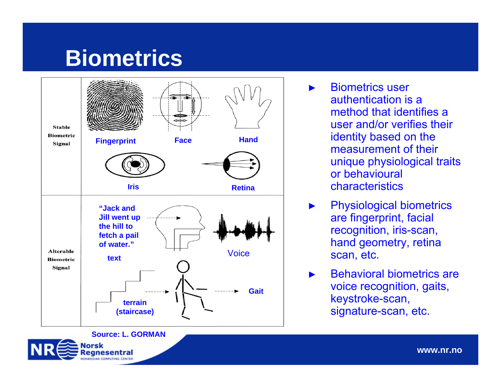# **Biometrics**



 Biometrics user authentication is a method that identifies a user and/or verifies their identity based on the measurement of their unique physiological traits or behavioural characteristics

►

- ► Physiological biometrics are fingerprint, facial recognition, iris-scan, hand geometry, retina scan, etc.
- ► Behavioral biometrics are voice recognition, gaits, keystroke-scan, signature-scan, etc.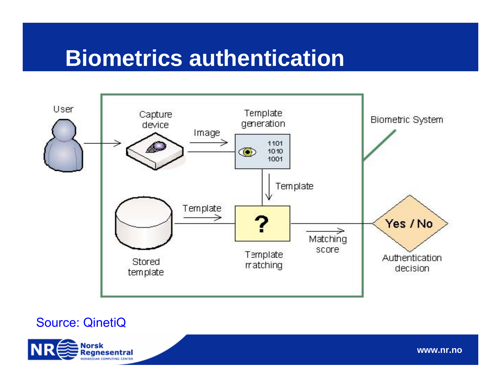# **Biometrics authentication**



### Source: QinetiQ

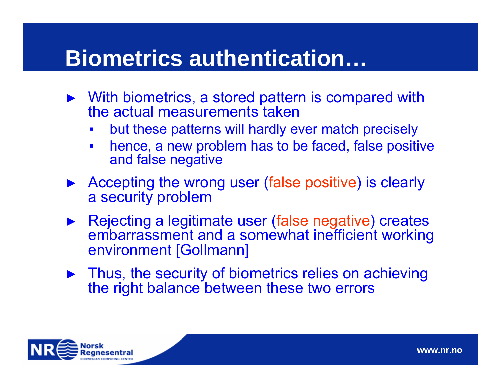# **Biometrics authentication…**

- ► With biometrics, a stored pattern is compared with the actual measurements taken
	- **₽** but these patterns will hardly ever match precisely
	- **₽**  hence, a new problem has to be faced, false positive and false negative
- ► Accepting the wrong user (false positive) is clearly a security problem
- ► Rejecting a legitimate user (false negative) creates embarrassment and a somewhat inefficient working environment [Gollmann]
- ► Thus, the security of biometrics relies on achieving the right balance between these two errors

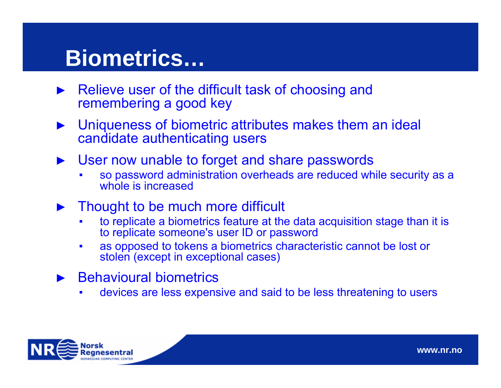# **Biometrics…**

- ► Relieve user of the difficult task of choosing and remembering a good key
- ► Uniqueness of biometric attributes makes them an ideal candidate authenticating users
- ► User now unable to forget and share passwords
	- ▪ so password administration overheads are reduced while security as a whole is increased
- ► Thought to be much more difficult
	- ▪ to replicate a biometrics feature at the data acquisition stage than it is to replicate someone's user ID or password
	- ▪ as opposed to tokens a biometrics characteristic cannot be lost or stolen (except in exceptional cases)
- ► Behavioural biometrics
	- ▪devices are less expensive and said to be less threatening to users

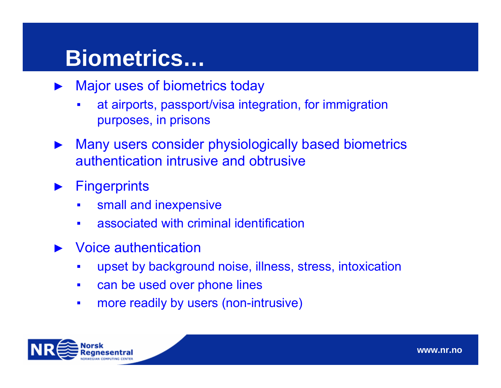# **Biometrics…**

- ► Major uses of biometrics today
	- **₽**  at airports, passport/visa integration, for immigration purposes, in prisons
- ► Many users consider physiologically based biometrics authentication intrusive and obtrusive
- ►**Fingerprints** 
	- **₽** small and inexpensive
	- **₽** associated with criminal identification
- ► Voice authentication
	- **₽₽₽₽** upset by background noise, illness, stress, intoxication
	- ▪can be used over phone lines
	- ▪more readily by users (non-intrusive)

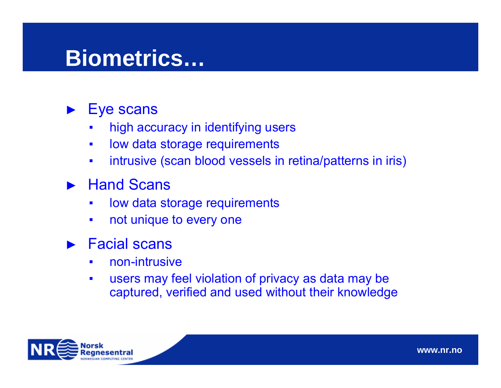# **Biometrics…**

#### ►Eye scans

- **₽** high accuracy in identifying users
- ▪low data storage requirements
- **₽** intrusive (scan blood vessels in retina/patterns in iris)

### ► Hand Scans

- ▪low data storage requirements
- **₽** not unique to every one

#### ►Facial scans

- ▪non-intrusive
- ▪ users may feel violation of privacy as data may be captured, verified and used without their knowledge

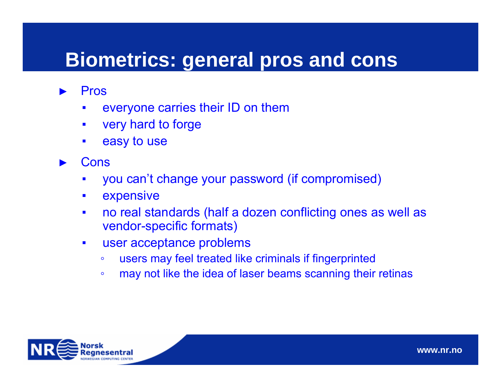### **Biometrics: general pros and cons**

- ► Pros
	- ▪everyone carries their ID on them
	- ▪very hard to forge
	- ▪easy to use
- ► Cons
	- ▪you can't change your password (if compromised)
	- ▪expensive
	- ▪ no real standards (half a dozen conflicting ones as well as vendor-specific formats)
	- ▪ user acceptance problems
		- ◦users may feel treated like criminals if fingerprinted
		- ◦may not like the idea of laser beams scanning their retinas

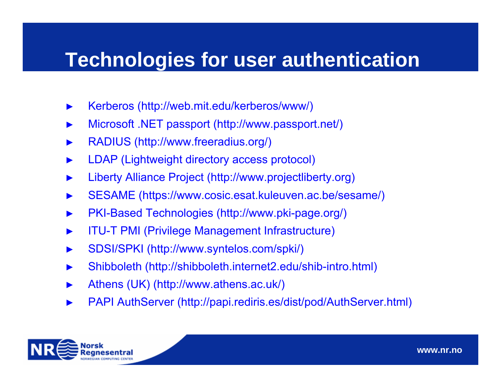### **Technologies for user authentication**

- ►Kerberos (http://web.mit.edu/kerberos/www/)
- ►Microsoft .NET passport (http://www.passport.net/)
- ►RADIUS (http://www.freeradius.org/)
- ►LDAP (Lightweight directory access protocol)
- ►Liberty Alliance Project (http://www.projectliberty.org)
- ►SESAME (https://www.cosic.esat.kuleuven.ac.be/sesame/)
- ►PKI-Based Technologies (http://www.pki-page.org/)
- ►ITU-T PMI (Privilege Management Infrastructure)
- ►SDSI/SPKI (http://www.syntelos.com/spki/)
- ►Shibboleth (http://shibboleth.internet2.edu/shib-intro.html)
- ►Athens (UK) (http://www.athens.ac.uk/)
- ►PAPI AuthServer (http://papi.rediris.es/dist/pod/AuthServer.html)

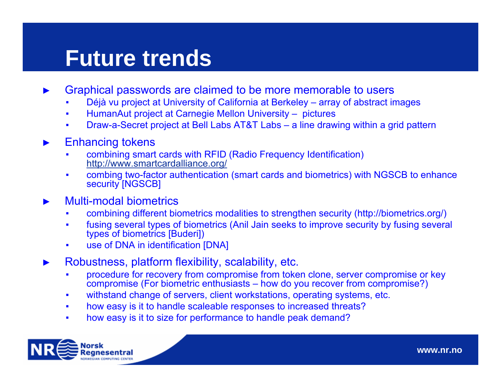# **Future trends**

- ► Graphical passwords are claimed to be more memorable to users
	- ▪Déjà vu project at University of California at Berkeley – array of abstract images
	- ▪HumanAut project at Carnegie Mellon University – pictures
	- ▪Draw-a-Secret project at Bell Labs AT&T Labs – a line drawing within a grid pattern

#### ►Enhancing tokens

- ▪ combining smart cards with RFID (Radio Frequency Identification) <http://www.smartcardalliance.org/>
- ▪ combing two-factor authentication (smart cards and biometrics) with NGSCB to enhance security [NGSCB]

#### ►Multi-modal biometrics

- ▪combining different biometrics modalities to strengthen security (http://biometrics.org/)
- ▪ fusing several types of biometrics (Anil Jain seeks to improve security by fusing several types of biometrics [Buderi])
- ▪use of DNA in identification [DNA]
- ► Robustness, platform flexibility, scalability, etc.
	- ▪ procedure for recovery from compromise from token clone, server compromise or key compromise (For biometric enthusiasts – how do you recover from compromise?)
	- ▪withstand change of servers, client workstations, operating systems, etc.
	- ▪how easy is it to handle scaleable responses to increased threats?
	- ▪how easy is it to size for performance to handle peak demand?

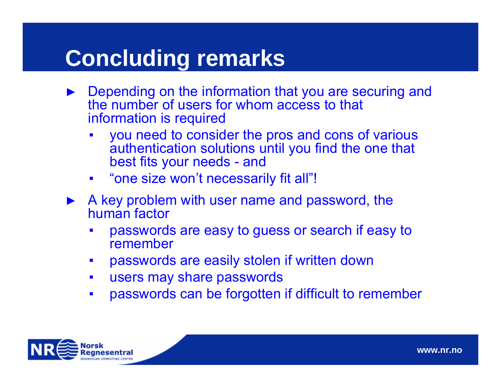# **Concluding remarks**

- ► Depending on the information that you are securing and the number of users for whom access to that information is required
	- **₽₽₽₽**  you need to consider the pros and cons of various authentication solutions until you find the one that best fits your needs - and
	- "one size won't necessarily fit all"!
- ► A key problem with user name and password, the human factor
	- ▪ passwords are easy to guess or search if easy to remember
	- ▪passwords are easily stolen if written down
	- ▪users may share passwords
	- **₽** passwords can be forgotten if difficult to remember

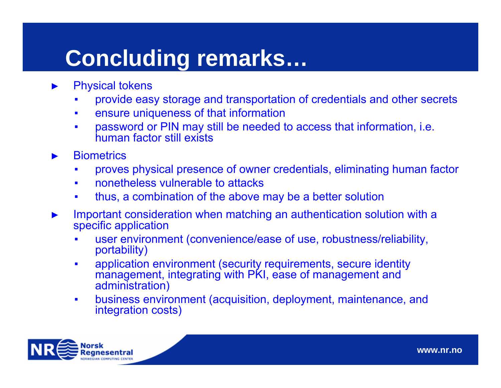# **Concluding remarks…**

- ► Physical tokens
	- ▪provide easy storage and transportation of credentials and other secrets
	- ▪ensure uniqueness of that information
	- ▪ password or PIN may still be needed to access that information, i.e. human factor still exists
- ►**Biometrics** 
	- ▪proves physical presence of owner credentials, eliminating human factor
	- ▪nonetheless vulnerable to attacks
	- ▪thus, a combination of the above may be a better solution
- ► Important consideration when matching an authentication solution with a specific application
	- ▪ user environment (convenience/ease of use, robustness/reliability, portability)
	- ▪ application environment (security requirements, secure identity management, integrating with PKI, ease of management and administration)
	- ▪ business environment (acquisition, deployment, maintenance, and integration costs)

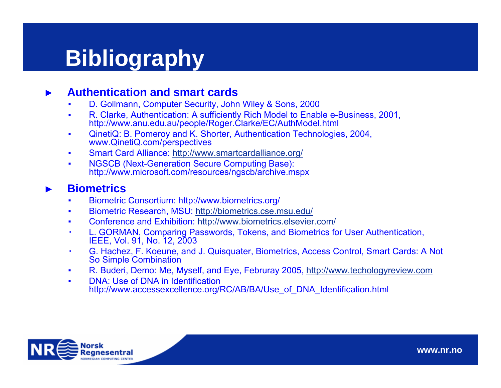# **Bibliography**

#### ►**Authentication and smart cards**

- ▪D. Gollmann, Computer Security, John Wiley & Sons, 2000
- ▪ R. Clarke, Authentication: A sufficiently Rich Model to Enable e-Business, 2001, http://www.anu.edu.au/people/Roger.Clarke/EC/AuthModel.html
- ▪ QinetiQ: B. Pomeroy and K. Shorter, Authentication Technologies, 2004, www.QinetiQ.com/perspectives
- ▪Smart Card Alliance: <http://www.smartcardalliance.org/>
- ▪ NGSCB (Next-Generation Secure Computing Base): http://www.microsoft.com/resources/ngscb/archive.mspx

#### ►**Biometrics**

- ▪Biometric Consortium: http://www.biometrics.org/
- ▪Biometric Research, MSU:<http://biometrics.cse.msu.edu/>
- ▪Conference and Exhibition:<http://www.biometrics.elsevier.com/>
- ▪ L. GORMAN, Comparing Passwords, Tokens, and Biometrics for User Authentication, IEEE, Vol. 91, No. 12, 2003
- ▪ G. Hachez, F. Koeune, and J. Quisquater, Biometrics, Access Control, Smart Cards: A Not So Simple Combination
- ▪R. Buderi, Demo: Me, Myself, and Eye, Februray 2005, [http://www.techologyreview.com](http://www.techologyreview.com/)
- ▪ DNA: Use of DNA in Identification http://www.accessexcellence.org/RC/AB/BA/Use\_of\_DNA\_Identification.html